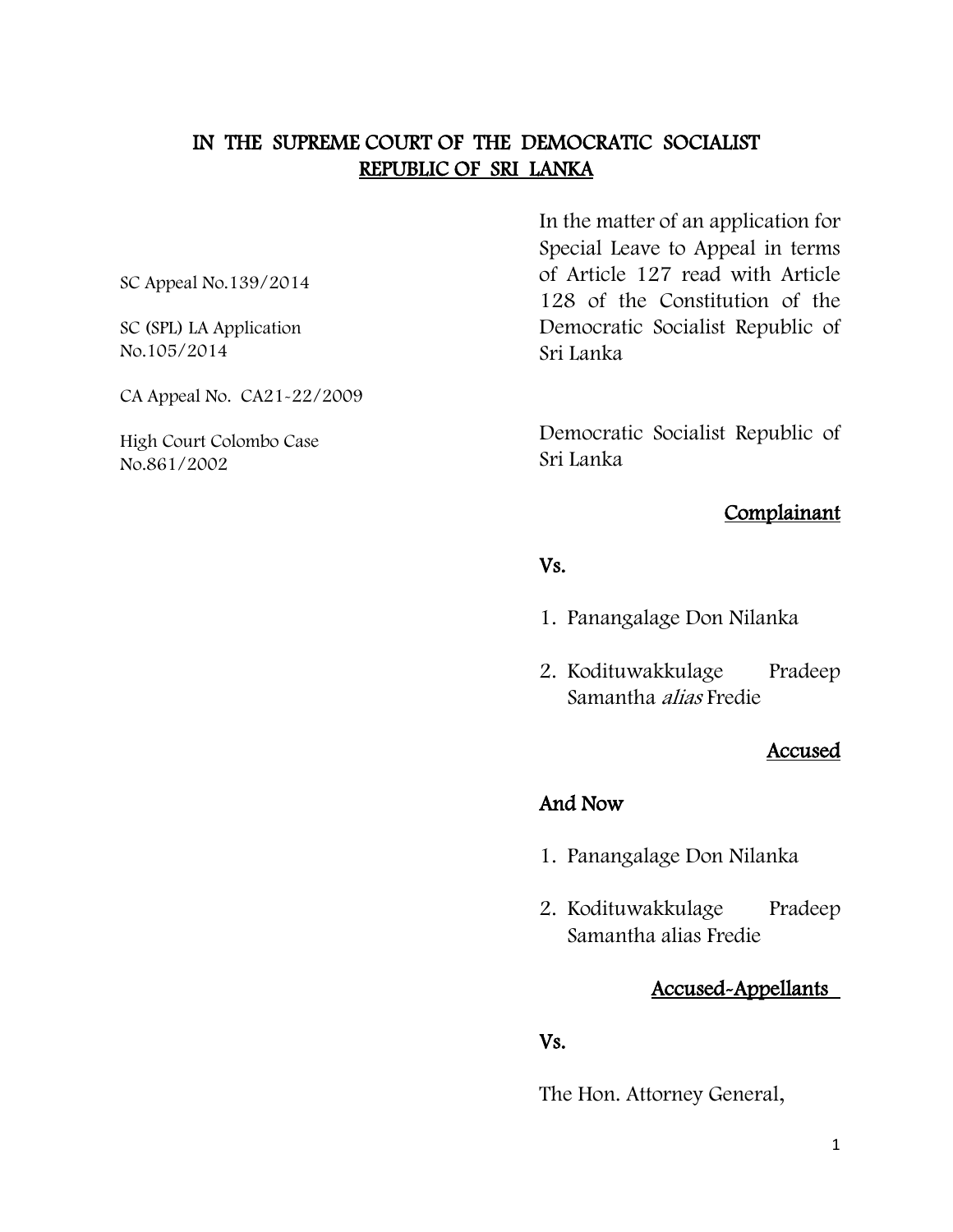## IN THE SUPREME COURT OF THE DEMOCRATIC SOCIALIST REPUBLIC OF SRI LANKA

SC Appeal No.139/2014

SC (SPL) LA Application No.105/2014

CA Appeal No. CA21-22/2009

High Court Colombo Case No.861/2002

In the matter of an application for Special Leave to Appeal in terms of Article 127 read with Article 128 of the Constitution of the Democratic Socialist Republic of Sri Lanka

Democratic Socialist Republic of Sri Lanka

### Complainant

## Vs.

- 1. Panangalage Don Nilanka
- 2. Kodituwakkulage Pradeep Samantha alias Fredie

### Accused

### And Now

- 1. Panangalage Don Nilanka
- 2. Kodituwakkulage Pradeep Samantha alias Fredie

# Accused-Appellants

### Vs.

The Hon. Attorney General,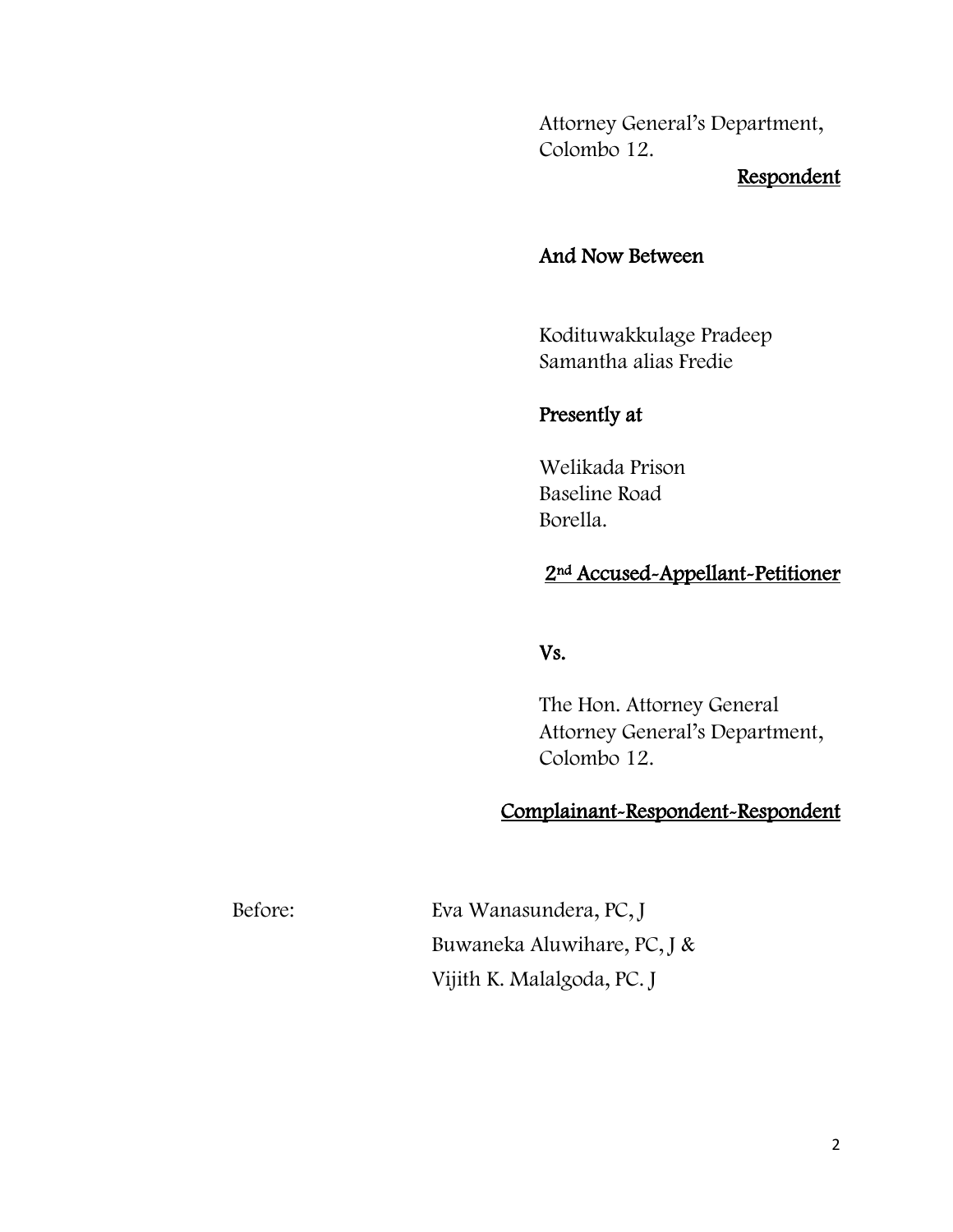Attorney General's Department, Colombo 12.

## Respondent

## And Now Between

Kodituwakkulage Pradeep Samantha alias Fredie

## Presently at

Welikada Prison Baseline Road Borella.

## 2nd Accused-Appellant-Petitioner

### Vs.

The Hon. Attorney General Attorney General's Department, Colombo 12.

## Complainant-Respondent-Respondent

Before: Eva Wanasundera, PC, J Buwaneka Aluwihare, PC, J & Vijith K. Malalgoda, PC. J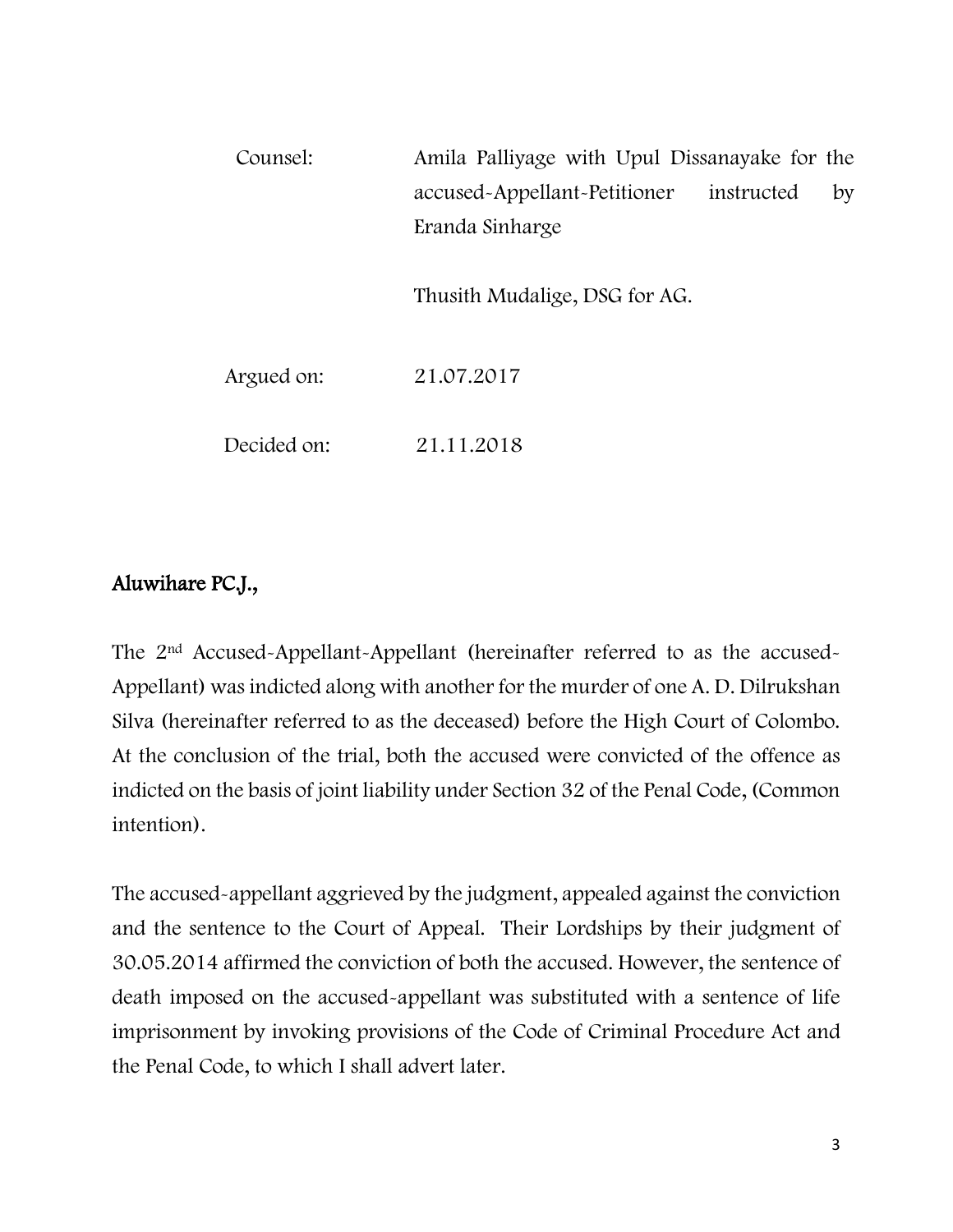| Counsel:    | Amila Palliyage with Upul Dissanayake for the |  |    |
|-------------|-----------------------------------------------|--|----|
|             | accused-Appellant-Petitioner instructed       |  | by |
|             | Eranda Sinharge                               |  |    |
|             | Thusith Mudalige, DSG for AG.                 |  |    |
| Argued on:  | 21.07.2017                                    |  |    |
| Decided on: | 21.11.2018                                    |  |    |

# Aluwihare PC.J.,

The 2nd Accused-Appellant-Appellant (hereinafter referred to as the accused-Appellant) was indicted along with another for the murder of one A. D. Dilrukshan Silva (hereinafter referred to as the deceased) before the High Court of Colombo. At the conclusion of the trial, both the accused were convicted of the offence as indicted on the basis of joint liability under Section 32 of the Penal Code, (Common intention).

The accused-appellant aggrieved by the judgment, appealed against the conviction and the sentence to the Court of Appeal. Their Lordships by their judgment of 30.05.2014 affirmed the conviction of both the accused. However, the sentence of death imposed on the accused-appellant was substituted with a sentence of life imprisonment by invoking provisions of the Code of Criminal Procedure Act and the Penal Code, to which I shall advert later.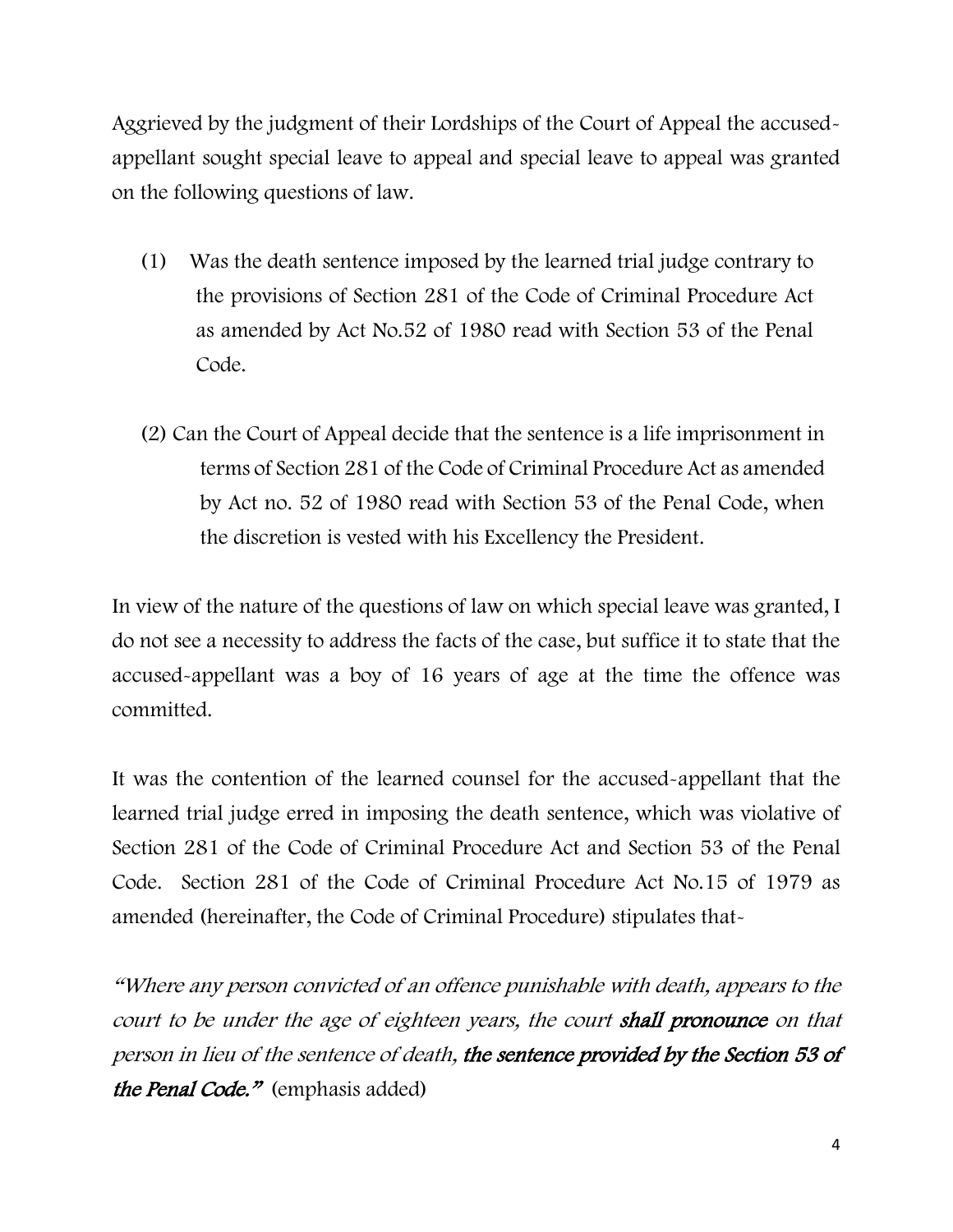Aggrieved by the judgment of their Lordships of the Court of Appeal the accusedappellant sought special leave to appeal and special leave to appeal was granted on the following questions of law.

- (1) Was the death sentence imposed by the learned trial judge contrary to the provisions of Section 281 of the Code of Criminal Procedure Act as amended by Act No.52 of 1980 read with Section 53 of the Penal Code.
- (2) Can the Court of Appeal decide that the sentence is a life imprisonment in terms of Section 281 of the Code of Criminal Procedure Act as amended by Act no. 52 of 1980 read with Section 53 of the Penal Code, when the discretion is vested with his Excellency the President.

In view of the nature of the questions of law on which special leave was granted, I do not see a necessity to address the facts of the case, but suffice it to state that the accused-appellant was a boy of 16 years of age at the time the offence was committed.

It was the contention of the learned counsel for the accused-appellant that the learned trial judge erred in imposing the death sentence, which was violative of Section 281 of the Code of Criminal Procedure Act and Section 53 of the Penal Code. Section 281 of the Code of Criminal Procedure Act No.15 of 1979 as amended (hereinafter, the Code of Criminal Procedure) stipulates that-

"Where any person convicted of an offence punishable with death, appears to the court to be under the age of eighteen years, the court shall pronounce on that person in lieu of the sentence of death, the sentence provided by the Section 53 of the Penal Code." (emphasis added)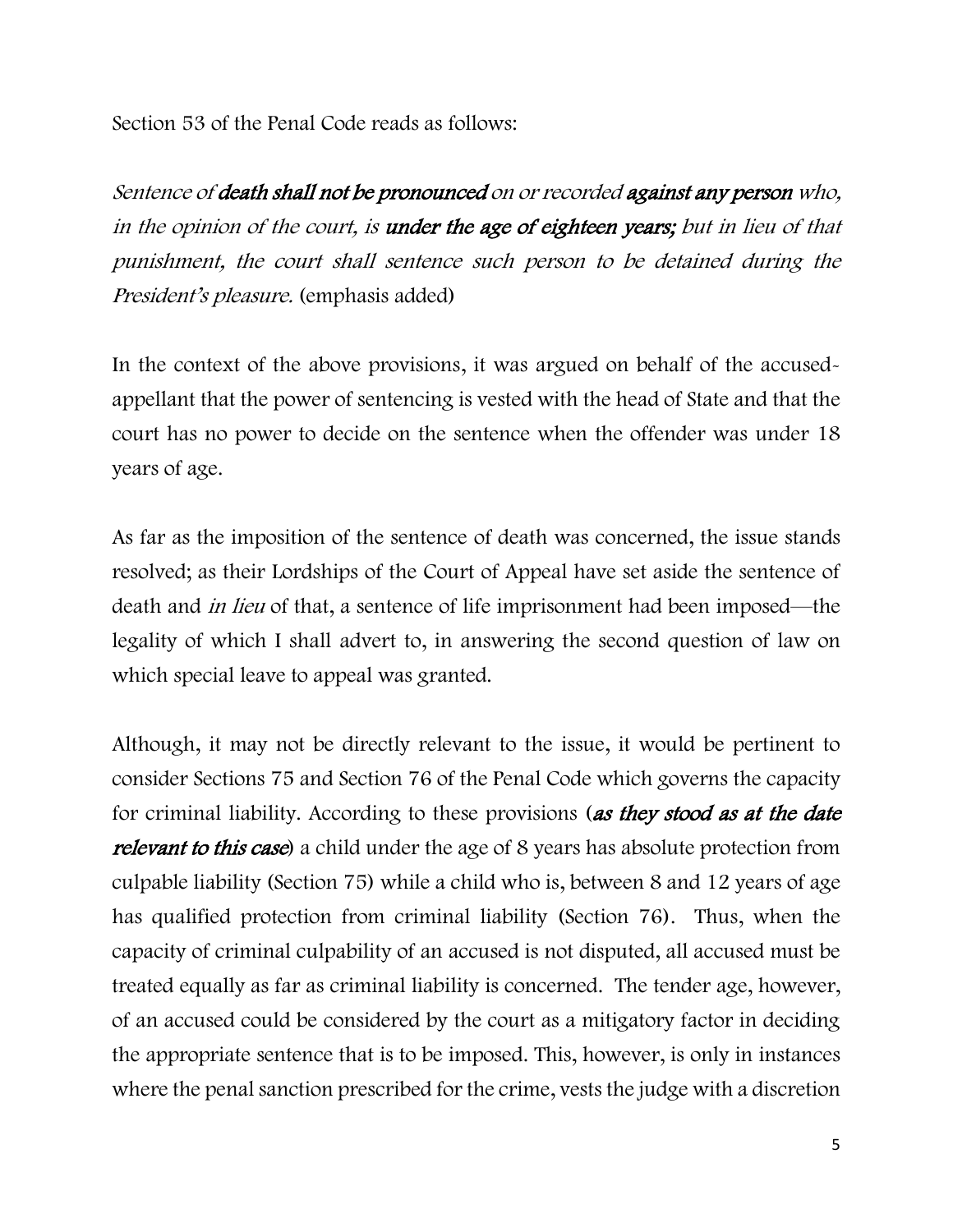Section 53 of the Penal Code reads as follows:

Sentence of death shall not be pronounced on or recorded against any person who, in the opinion of the court, is under the age of eighteen years; but in lieu of that punishment, the court shall sentence such person to be detained during the President's pleasure. (emphasis added)

In the context of the above provisions, it was argued on behalf of the accusedappellant that the power of sentencing is vested with the head of State and that the court has no power to decide on the sentence when the offender was under 18 years of age.

As far as the imposition of the sentence of death was concerned, the issue stands resolved; as their Lordships of the Court of Appeal have set aside the sentence of death and *in lieu* of that, a sentence of life imprisonment had been imposed—the legality of which I shall advert to, in answering the second question of law on which special leave to appeal was granted.

Although, it may not be directly relevant to the issue, it would be pertinent to consider Sections 75 and Section 76 of the Penal Code which governs the capacity for criminal liability. According to these provisions (as they stood as at the date relevant to this case) a child under the age of 8 years has absolute protection from culpable liability (Section 75) while a child who is, between 8 and 12 years of age has qualified protection from criminal liability (Section 76). Thus, when the capacity of criminal culpability of an accused is not disputed, all accused must be treated equally as far as criminal liability is concerned. The tender age, however, of an accused could be considered by the court as a mitigatory factor in deciding the appropriate sentence that is to be imposed. This, however, is only in instances where the penal sanction prescribed for the crime, vests the judge with a discretion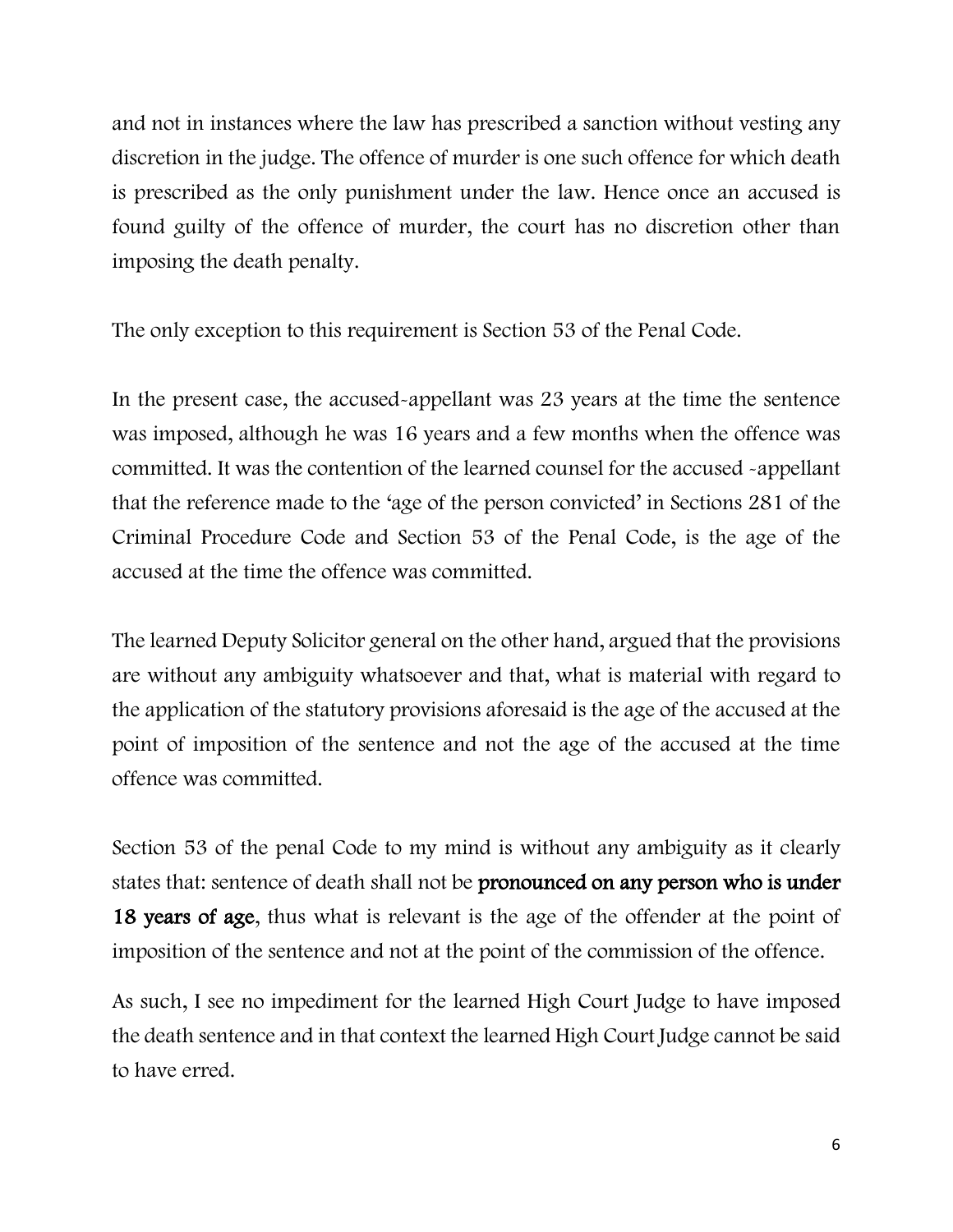and not in instances where the law has prescribed a sanction without vesting any discretion in the judge. The offence of murder is one such offence for which death is prescribed as the only punishment under the law. Hence once an accused is found guilty of the offence of murder, the court has no discretion other than imposing the death penalty.

The only exception to this requirement is Section 53 of the Penal Code.

In the present case, the accused-appellant was 23 years at the time the sentence was imposed, although he was 16 years and a few months when the offence was committed. It was the contention of the learned counsel for the accused -appellant that the reference made to the 'age of the person convicted' in Sections 281 of the Criminal Procedure Code and Section 53 of the Penal Code, is the age of the accused at the time the offence was committed.

The learned Deputy Solicitor general on the other hand, argued that the provisions are without any ambiguity whatsoever and that, what is material with regard to the application of the statutory provisions aforesaid is the age of the accused at the point of imposition of the sentence and not the age of the accused at the time offence was committed.

Section 53 of the penal Code to my mind is without any ambiguity as it clearly states that: sentence of death shall not be pronounced on any person who is under 18 years of age, thus what is relevant is the age of the offender at the point of imposition of the sentence and not at the point of the commission of the offence.

As such, I see no impediment for the learned High Court Judge to have imposed the death sentence and in that context the learned High Court Judge cannot be said to have erred.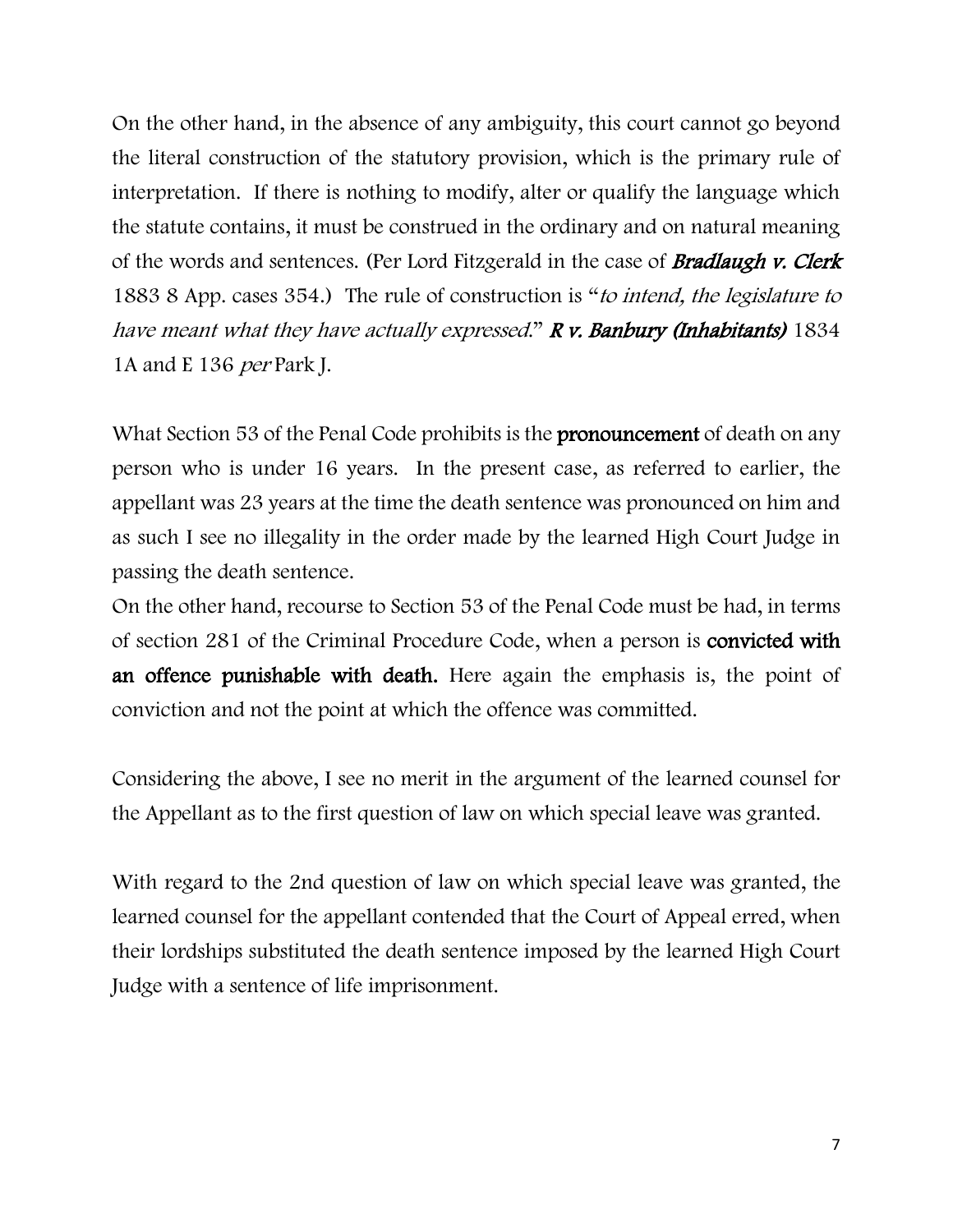On the other hand, in the absence of any ambiguity, this court cannot go beyond the literal construction of the statutory provision, which is the primary rule of interpretation. If there is nothing to modify, alter or qualify the language which the statute contains, it must be construed in the ordinary and on natural meaning of the words and sentences. (Per Lord Fitzgerald in the case of **Bradlaugh v. Clerk** 1883 8 App. cases 354.) The rule of construction is "to intend, the legislature to have meant what they have actually expressed." **R v. Banbury (Inhabitants)** 1834 1A and E 136 *per* Park J.

What Section 53 of the Penal Code prohibits is the **pronouncement** of death on any person who is under 16 years. In the present case, as referred to earlier, the appellant was 23 years at the time the death sentence was pronounced on him and as such I see no illegality in the order made by the learned High Court Judge in passing the death sentence.

On the other hand, recourse to Section 53 of the Penal Code must be had, in terms of section 281 of the Criminal Procedure Code, when a person is convicted with an offence punishable with death. Here again the emphasis is, the point of conviction and not the point at which the offence was committed.

Considering the above, I see no merit in the argument of the learned counsel for the Appellant as to the first question of law on which special leave was granted.

With regard to the 2nd question of law on which special leave was granted, the learned counsel for the appellant contended that the Court of Appeal erred, when their lordships substituted the death sentence imposed by the learned High Court Judge with a sentence of life imprisonment.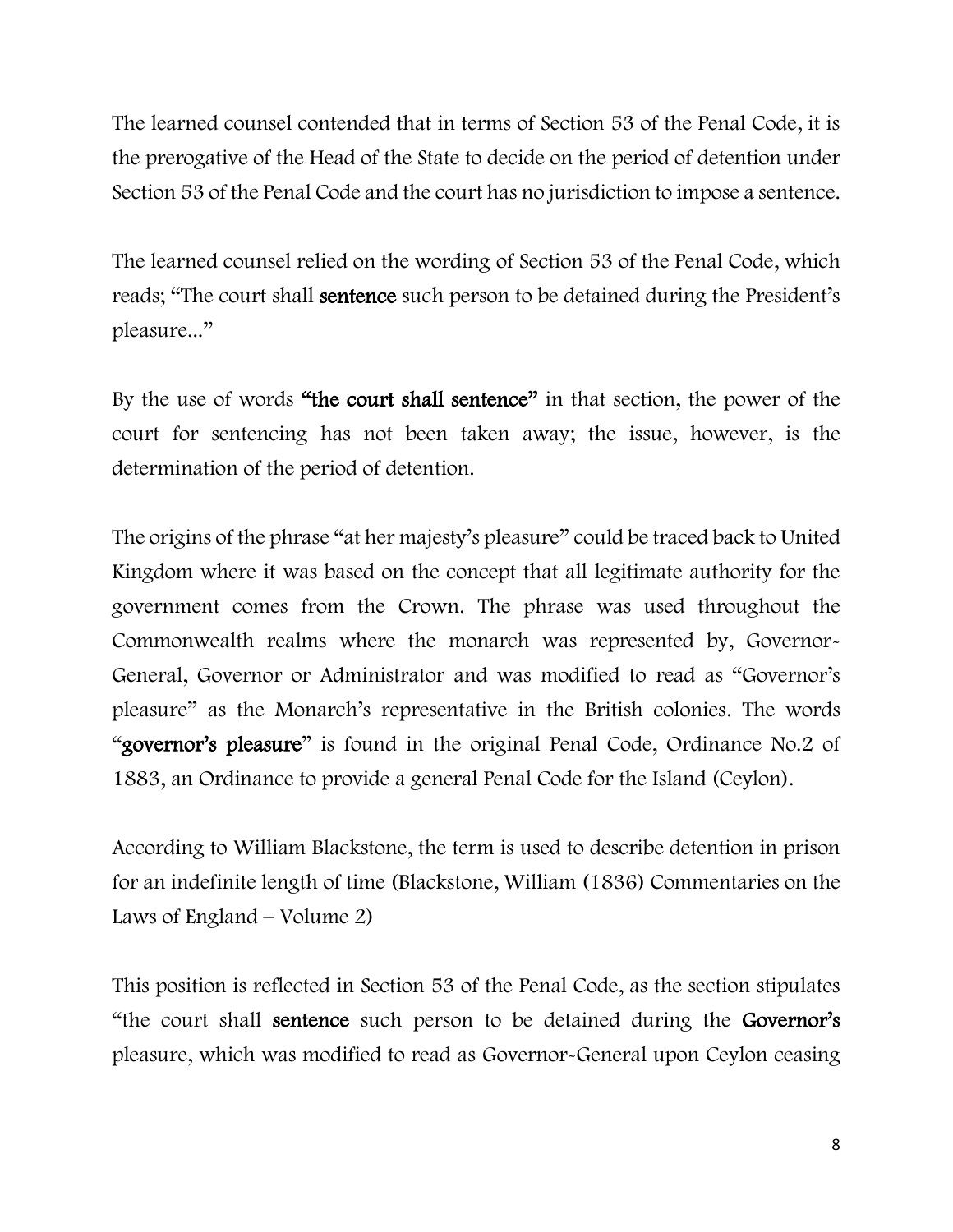The learned counsel contended that in terms of Section 53 of the Penal Code, it is the prerogative of the Head of the State to decide on the period of detention under Section 53 of the Penal Code and the court has no jurisdiction to impose a sentence.

The learned counsel relied on the wording of Section 53 of the Penal Code, which reads; "The court shall sentence such person to be detained during the President's pleasure..."

By the use of words "the court shall sentence" in that section, the power of the court for sentencing has not been taken away; the issue, however, is the determination of the period of detention.

The origins of the phrase "at her majesty's pleasure" could be traced back to United Kingdom where it was based on the concept that all legitimate authority for the government comes from the Crown. The phrase was used throughout the Commonwealth realms where the monarch was represented by, Governor-General, Governor or Administrator and was modified to read as "Governor's pleasure" as the Monarch's representative in the British colonies. The words "governor's pleasure" is found in the original Penal Code, Ordinance No.2 of 1883, an Ordinance to provide a general Penal Code for the Island (Ceylon).

According to William Blackstone, the term is used to describe detention in prison for an indefinite length of time (Blackstone, William (1836) Commentaries on the Laws of England – Volume 2)

This position is reflected in Section 53 of the Penal Code, as the section stipulates "the court shall sentence such person to be detained during the Governor's pleasure, which was modified to read as Governor-General upon Ceylon ceasing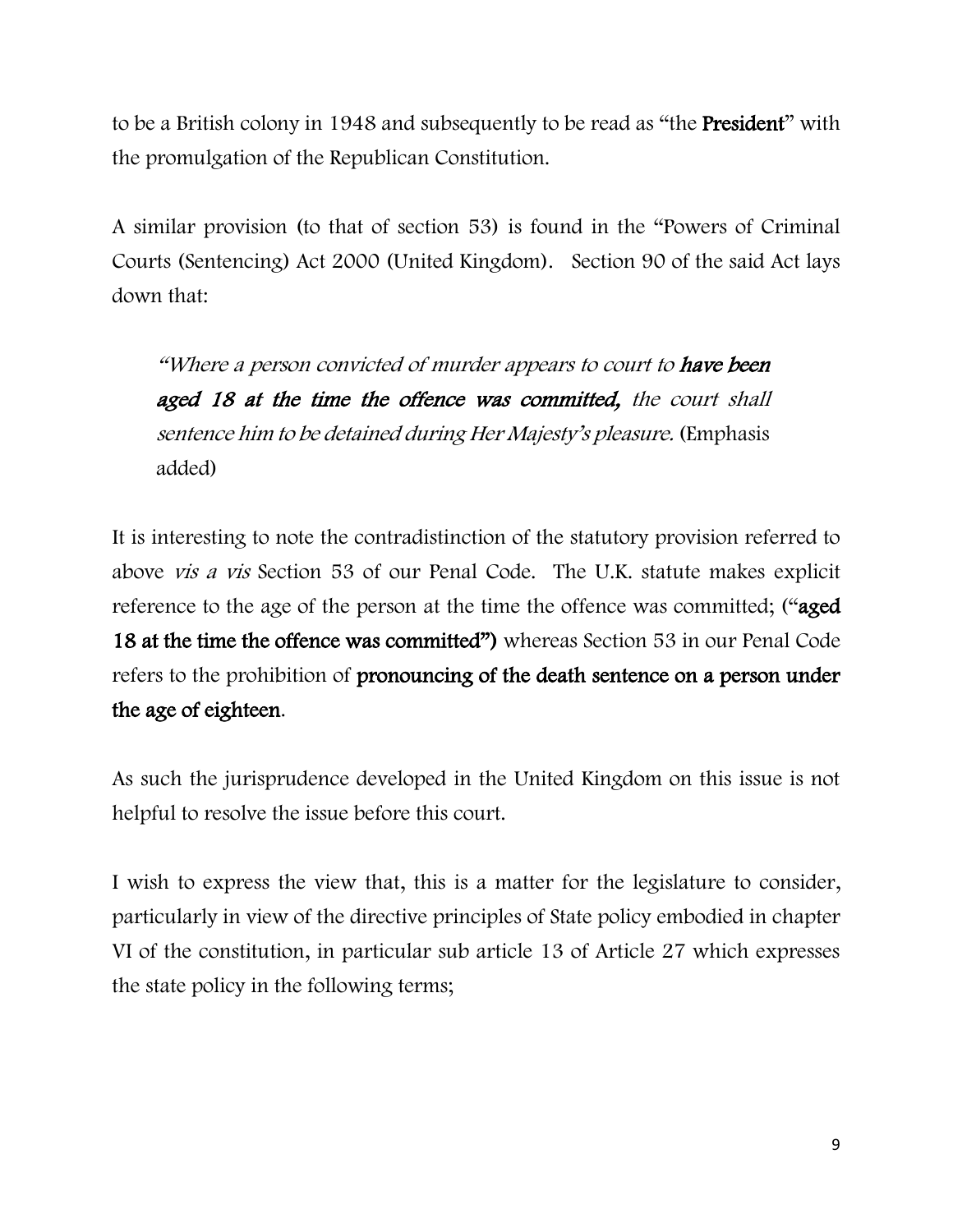to be a British colony in 1948 and subsequently to be read as "the President" with the promulgation of the Republican Constitution.

A similar provision (to that of section 53) is found in the "Powers of Criminal Courts (Sentencing) Act 2000 (United Kingdom). Section 90 of the said Act lays down that:

"Where a person convicted of murder appears to court to have been aged 18 at the time the offence was committed, the court shall sentence him to be detained during Her Majesty's pleasure. (Emphasis added)

It is interesting to note the contradistinction of the statutory provision referred to above vis a vis Section 53 of our Penal Code. The U.K. statute makes explicit reference to the age of the person at the time the offence was committed; ("aged 18 at the time the offence was committed") whereas Section 53 in our Penal Code refers to the prohibition of pronouncing of the death sentence on a person under the age of eighteen.

As such the jurisprudence developed in the United Kingdom on this issue is not helpful to resolve the issue before this court.

I wish to express the view that, this is a matter for the legislature to consider, particularly in view of the directive principles of State policy embodied in chapter VI of the constitution, in particular sub article 13 of Article 27 which expresses the state policy in the following terms;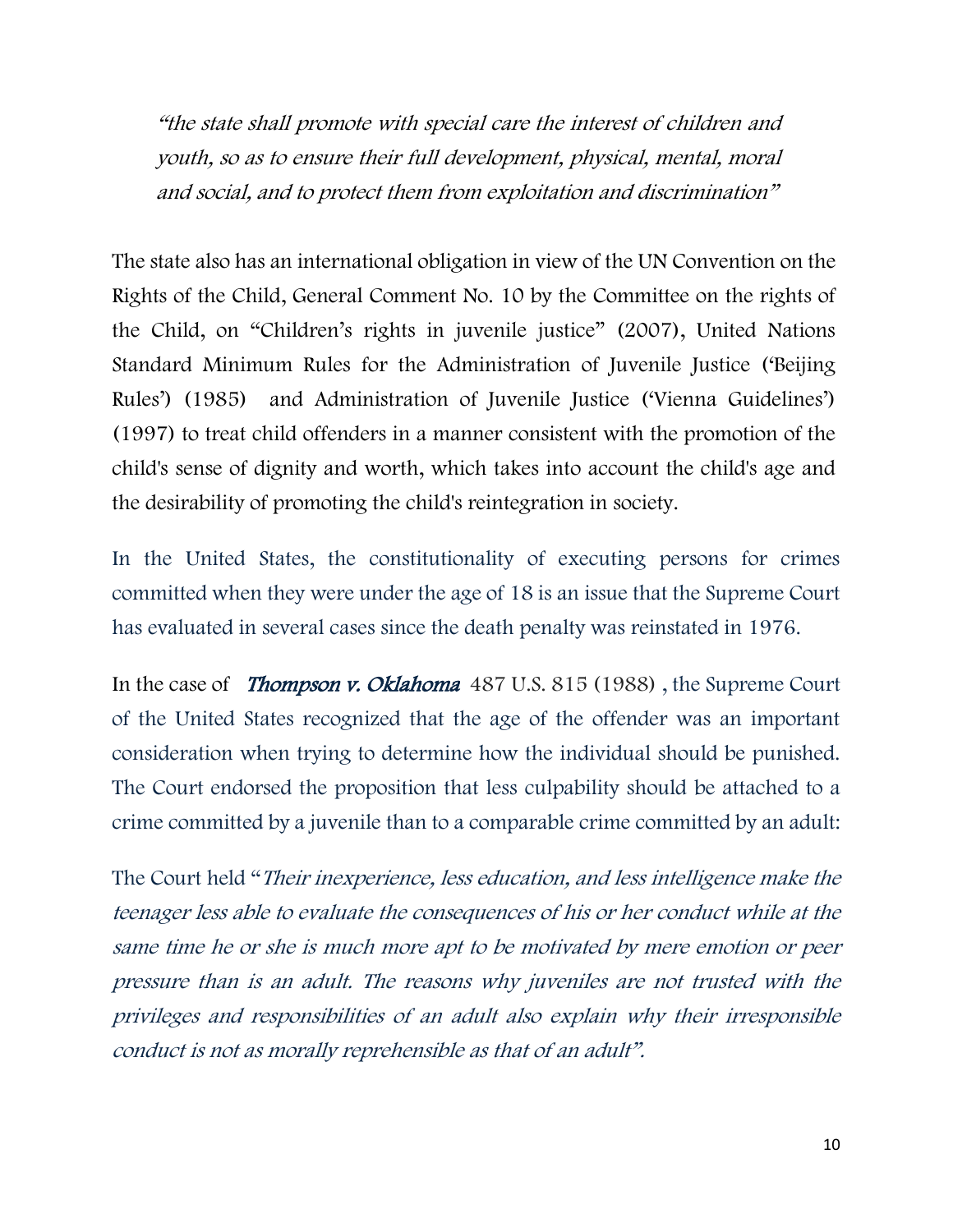"the state shall promote with special care the interest of children and youth, so as to ensure their full development, physical, mental, moral and social, and to protect them from exploitation and discrimination"

The state also has an international obligation in view of the UN Convention on the Rights of the Child, General Comment No. 10 by the Committee on the rights of the Child, on "Children's rights in juvenile justice" (2007), United Nations Standard Minimum Rules for the Administration of Juvenile Justice ('Beijing Rules') (1985) and Administration of Juvenile Justice ('Vienna Guidelines') (1997) to treat child offenders in a manner consistent with the promotion of the child's sense of dignity and worth, which takes into account the child's age and the desirability of promoting the child's reintegration in society.

In the United States, the constitutionality of executing persons for crimes committed when they were under the age of 18 is an issue that the Supreme Court has evaluated in several cases since the death penalty was reinstated in 1976.

In the case of Thompson v. Oklahoma 487 U.S. 815 (1988) , the Supreme Court of the United States recognized that the age of the offender was an important consideration when trying to determine how the individual should be punished. The Court endorsed the proposition that less culpability should be attached to a crime committed by a juvenile than to a comparable crime committed by an adult:

The Court held "Their inexperience, less education, and less intelligence make the teenager less able to evaluate the consequences of his or her conduct while at the same time he or she is much more apt to be motivated by mere emotion or peer pressure than is an adult. The reasons why juveniles are not trusted with the privileges and responsibilities of an adult also explain why their irresponsible conduct is not as morally reprehensible as that of an adult".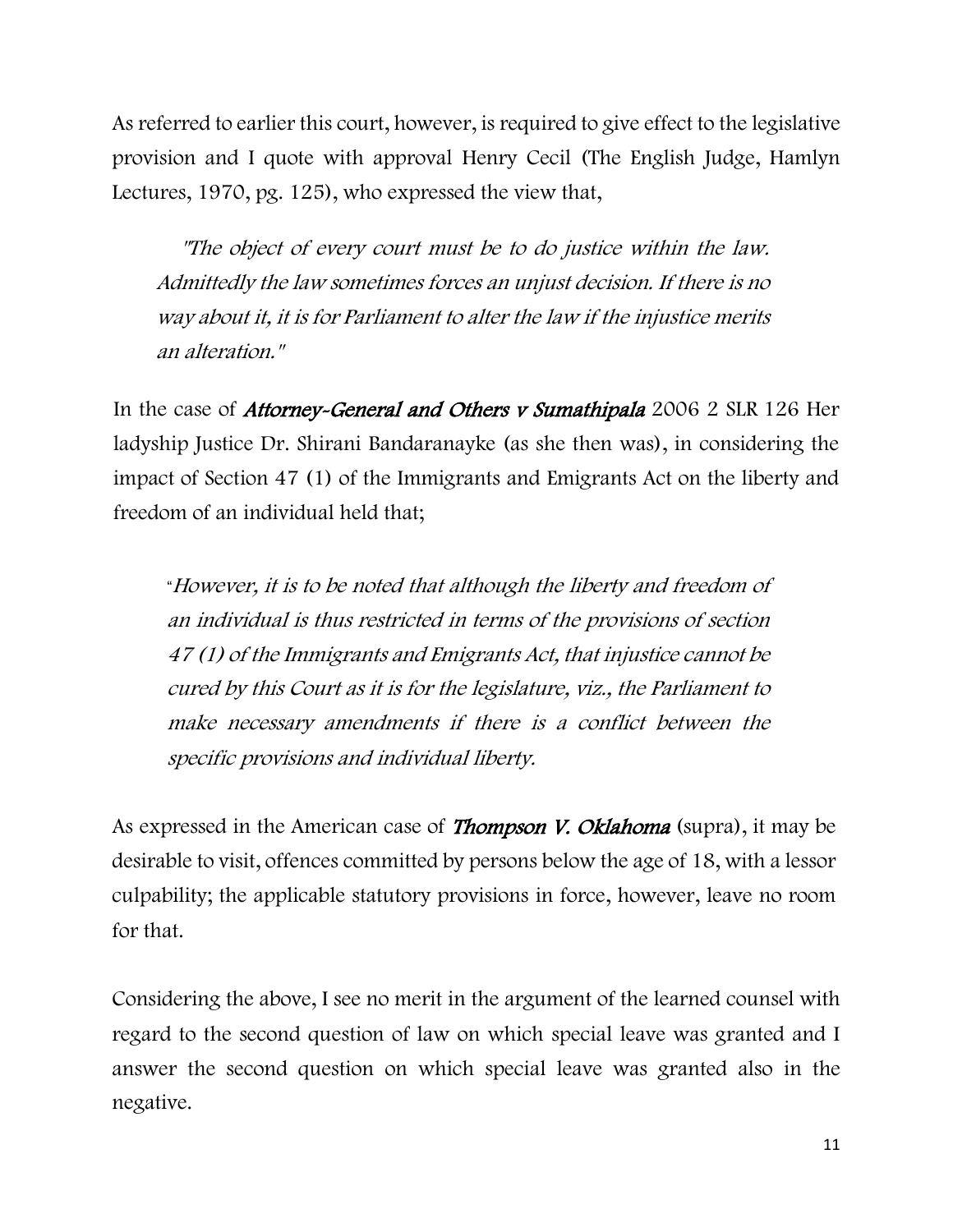As referred to earlier this court, however, is required to give effect to the legislative provision and I quote with approval Henry Cecil (The English Judge, Hamlyn Lectures, 1970, pg. 125), who expressed the view that,

 "The object of every court must be to do justice within the law. Admittedly the law sometimes forces an unjust decision. If there is no way about it, it is for Parliament to alter the law if the injustice merits an alteration."

In the case of *Attorney-General and Others v Sumathipala* 2006 2 SLR 126 Her ladyship Justice Dr. Shirani Bandaranayke (as she then was), in considering the impact of Section 47 (1) of the Immigrants and Emigrants Act on the liberty and freedom of an individual held that;

"However, it is to be noted that although the liberty and freedom of an individual is thus restricted in terms of the provisions of section 47 (1) of the Immigrants and Emigrants Act, that injustice cannot be cured by this Court as it is for the legislature, viz., the Parliament to make necessary amendments if there is a conflict between the specific provisions and individual liberty.

As expressed in the American case of **Thompson V. Oklahoma** (supra), it may be desirable to visit, offences committed by persons below the age of 18, with a lessor culpability; the applicable statutory provisions in force, however, leave no room for that.

Considering the above, I see no merit in the argument of the learned counsel with regard to the second question of law on which special leave was granted and I answer the second question on which special leave was granted also in the negative.